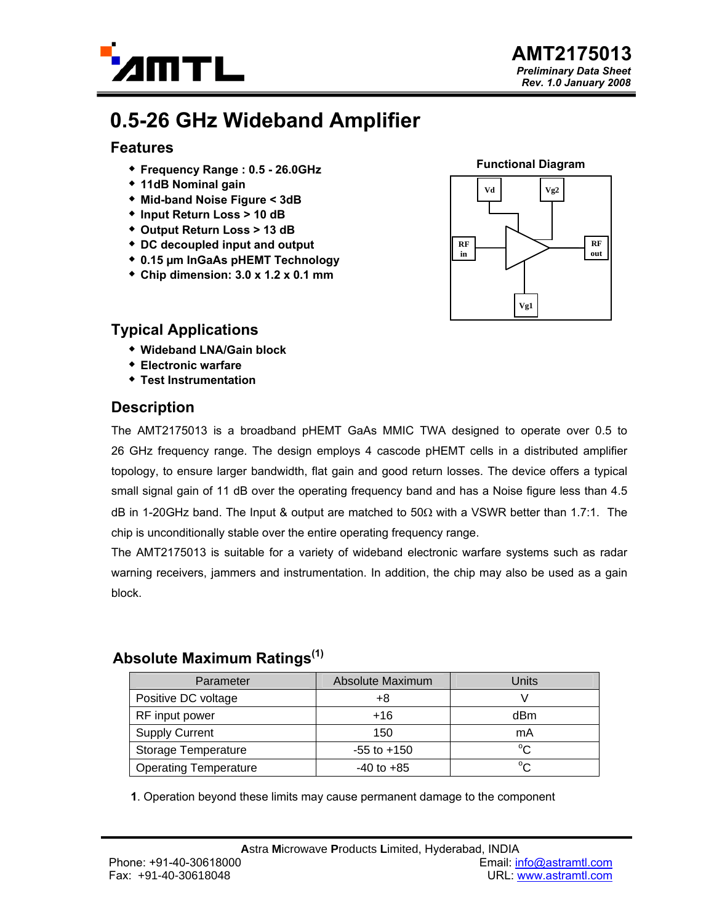

# **0.5-26 GHz Wideband Amplifier**

### **Features**

- **Frequency Range : 0.5 26.0GHz**
- **11dB Nominal gain**
- **Mid-band Noise Figure < 3dB**
- **Input Return Loss > 10 dB**
- **Output Return Loss > 13 dB**
- **DC decoupled input and output**
- **0.15 µm InGaAs pHEMT Technology**
- **Chip dimension: 3.0 x 1.2 x 0.1 mm**



### **Typical Applications**

- **Wideband LNA/Gain block**
- **Electronic warfare**
- **Test Instrumentation**

### **Description**

The AMT2175013 is a broadband pHEMT GaAs MMIC TWA designed to operate over 0.5 to 26 GHz frequency range. The design employs 4 cascode pHEMT cells in a distributed amplifier topology, to ensure larger bandwidth, flat gain and good return losses. The device offers a typical small signal gain of 11 dB over the operating frequency band and has a Noise figure less than 4.5 dB in 1-20GHz band. The Input & output are matched to 50Ω with a VSWR better than 1.7:1. The chip is unconditionally stable over the entire operating frequency range.

The AMT2175013 is suitable for a variety of wideband electronic warfare systems such as radar warning receivers, jammers and instrumentation. In addition, the chip may also be used as a gain block.

### **Absolute Maximum Ratings(1)**

| Parameter                    | Absolute Maximum | Units        |
|------------------------------|------------------|--------------|
| Positive DC voltage          | +8               |              |
| RF input power               | $+16$            | dBm          |
| <b>Supply Current</b>        | 150              | mA           |
| <b>Storage Temperature</b>   | $-55$ to $+150$  | $^{\circ}C$  |
| <b>Operating Temperature</b> | $-40$ to $+85$   | $^{\circ}$ C |

**1**. Operation beyond these limits may cause permanent damage to the component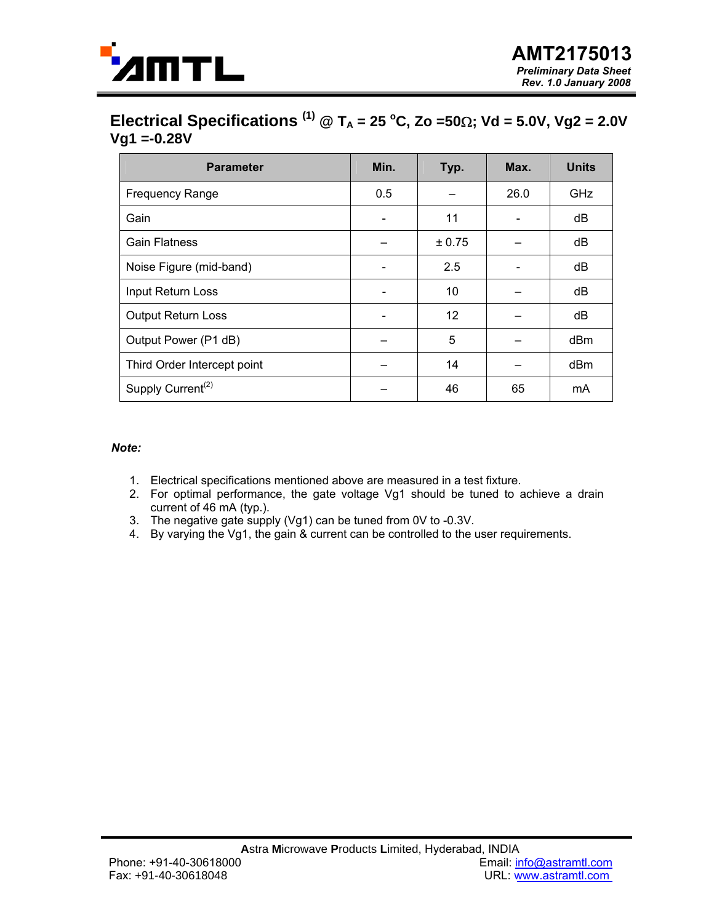

### **Electrical Specifications** <sup>(1)</sup> @ T<sub>A</sub> = 25 °C, Zo =50Ω; Vd = 5.0V, Vg2 = 2.0V **Vg1 =-0.28V**

| <b>Parameter</b>              | Min. | Typ.   | Max. | <b>Units</b> |
|-------------------------------|------|--------|------|--------------|
| <b>Frequency Range</b>        | 0.5  |        | 26.0 | GHz          |
| Gain                          |      | 11     |      | dB           |
| <b>Gain Flatness</b>          |      | ± 0.75 |      | dB           |
| Noise Figure (mid-band)       |      | 2.5    |      | dB           |
| Input Return Loss             |      | 10     |      | dB           |
| <b>Output Return Loss</b>     |      | 12     |      | dB           |
| Output Power (P1 dB)          |      | 5      |      | dBm          |
| Third Order Intercept point   |      | 14     |      | dBm          |
| Supply Current <sup>(2)</sup> |      | 46     | 65   | mA           |

#### *Note:*

- 1. Electrical specifications mentioned above are measured in a test fixture.
- 2. For optimal performance, the gate voltage Vg1 should be tuned to achieve a drain current of 46 mA (typ.).
- 3. The negative gate supply (Vg1) can be tuned from 0V to -0.3V.
- 4. By varying the Vg1, the gain & current can be controlled to the user requirements.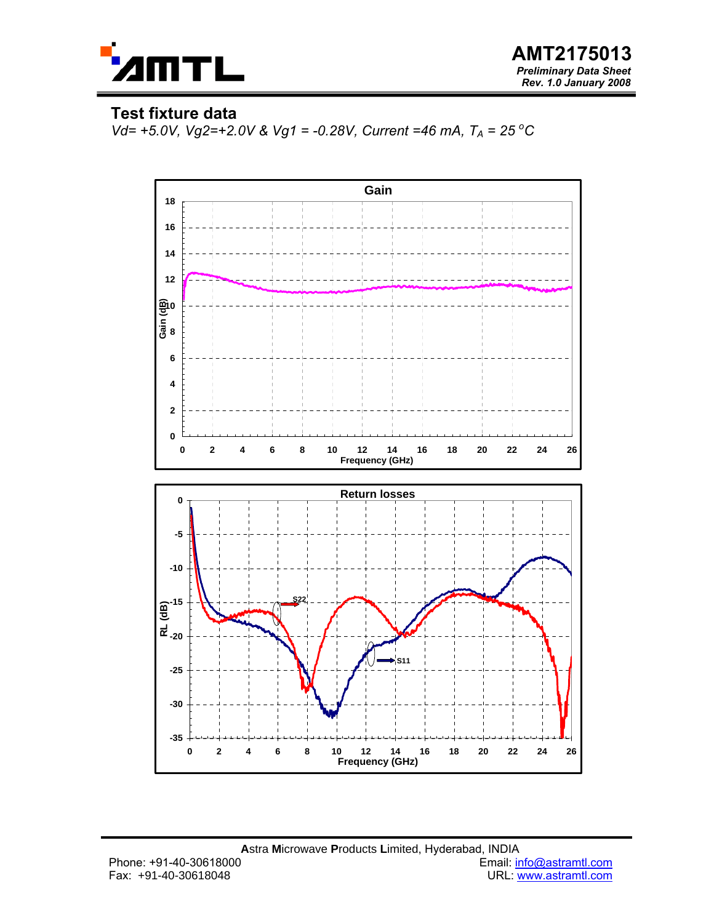

### **Test fixture data**

*Vd*= +5.0V, Vg2=+2.0V & Vg1 = -0.28V, Current =46 mA, T<sub>A</sub> = 25 °C

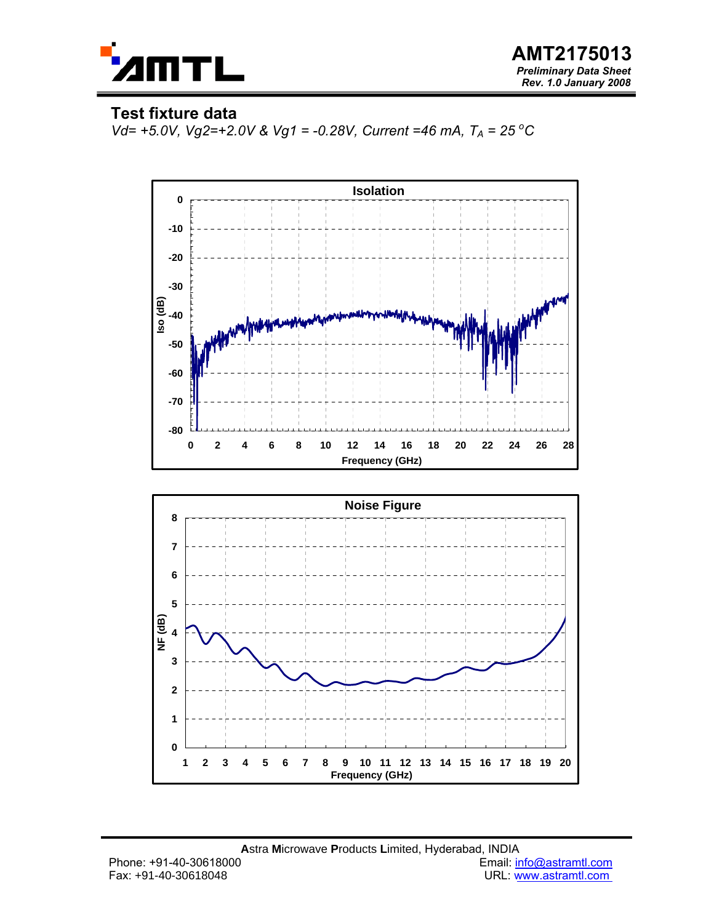

### **Test fixture data**

*Vd*= +5.0V, Vg2=+2.0V & Vg1 = -0.28V, Current =46 mA, T<sub>A</sub> = 25 °C



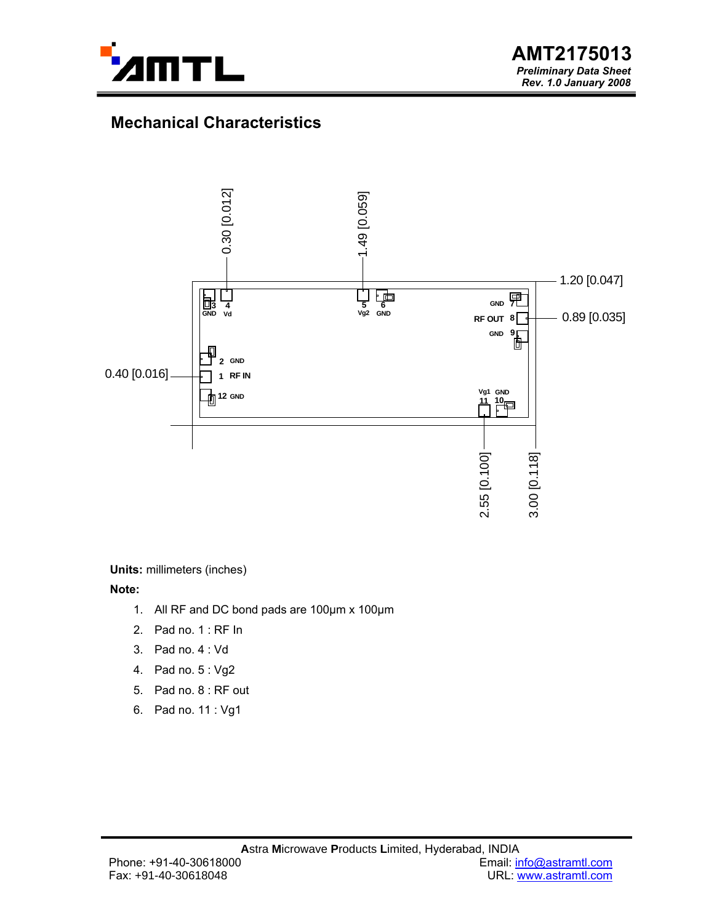

# **Mechanical Characteristics**



**Units:** millimeters (inches)

**Note:** 

- 1. All RF and DC bond pads are 100µm x 100µm
- 2. Pad no. 1 : RF In
- 3. Pad no. 4 : Vd
- 4. Pad no. 5 : Vg2
- 5. Pad no. 8 : RF out
-